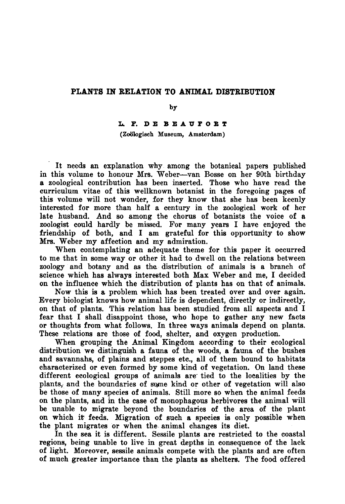## Plants in relation to animal distribution

## by

## L.F. de Beaufort

(Zoologisch Museum, Amsterdam)

It needs an explanation why among the botanical papers published in this volume to honour Mrs. Weber—van Bosse on her 90th birthday a zoological contribution has been inserted. Those who have read the curriculum vitae of this wellknown botanist in the foregoing pages of this volume will not wonder, for they know that she has been keenly interested for more than half <sup>a</sup> century in the zoological work of her late husband. And so among the chorus of botanists the voice of <sup>a</sup> zoologist could hardly be missed. For many years I have enjoyed the friendship of both, and I am grateful for this opportunity to show Mrs. Weber my affection and my admiration.

When contemplating an adequate theme for this paper it occurred to me that in some way or other it had to dwell on the relations between zoology and botany and as the distribution of animals is a branch of science which has always interested both Max Weber and me, I decided on the influence which the distribution of plants has on that of animals.

Now this is <sup>a</sup> problem which has been treated over and over again. Every biologist knows how animal life is dependent, directly or indirectly, on that of plants. This relation has been studied from all aspects and I fear that I shall disappoint those, who hope to gather any new facts or thoughts from what follows. In three ways animals depend on plants. These relations are those of food, shelter, and oxygen production.

When grouping the Animal Kingdom according to their ecological distribution we distinguish <sup>a</sup> fauna of the woods, a fauna of the bushes and savannahs, of plains and steppes etc., all of them bound to habitats characterized or even formed by some kind of vegetation. On land these different ecological groups of animals are tied to the localities by the plants, and the boundaries of some kind or other of vegetation will also be those of many species of animals. Still more so when the animal feeds on the plants, and in the case of monophagous herbivores the animal will be unable to migrate beyond the boundaries of the area of the plant on which it feeds. Migration of such <sup>a</sup> species is only possible when the plant migrates or when the animal changes its diet.

In the sea it is different. Sessile plants are restricted to the coastal regions, being unable to live in great depths in consequence of the lack of light. Moreover, sessile animals compete with the plants and are often of much greater importance than the plants as shelters. The food offered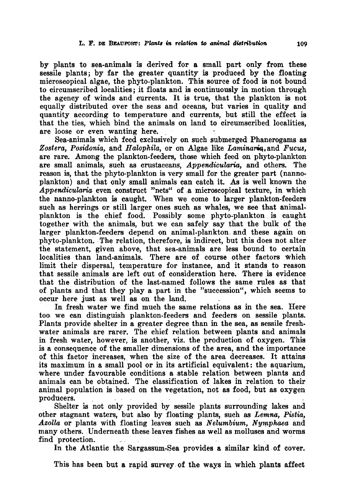by plants to sea-animals is derived for <sup>a</sup> small part only from these sessile plants; by far the greater quantity is produced by the floating microscopical algae, the phyto-plankton. This source of food is not bound to circumscribed localities; it floats and is continuously in motion through the agency of winds and currents. It is true, that the plankton is not equally distributed over the seas and oceans, but varies in quality and quantity according to temperature and currents, but still the effect is that the ties, which bind the animals on land to circumscribed localities, are loose or even wanting here.

Sea-animals which feed exclusively on such submerged Phanerogams as Zostera, Posidonia, and Halophila, or on Algae like Laminaria, and Fucus, are rare. Among the plankton-feeders, those which feed on phyto-plankton are small animals, such as crustaceans, Appendicularia, and others. The reason is, that the phyto-plankton is very small for the greater part (nannoplankton) and that only small animals can catch it. As is well known the Appendicularia even construct "nets" of a microscopical texture, in which the nanno-plankton is caught. When we come to larger plankton-feeders such as herrings or still larger ones such as whales, we see that animalplankton is the chief food. Possibly some phyto-plankton is caught together with the animals, but we can safely say that the bulk of the larger plankton-feeders depend on animal-plankton and these again on phyto-plankton. The relation, therefore, is indirect, but this does not alter the statement, given above, that sea-animals are less bound to certain localities than land-animals. There are of course other factors Which limit their dispersal, temperature for instance, and it stands to reason that sessile animals are left out of consideration here. There is evidence that the distribution of the last-named follows the same rules as that of plants and that they play a part in the "succession", which seems to occur here just as well as on the land.

In fresh water we find much the same relations as in the sea. Here too we can distinguish plankton-feeders and feeders on sessile plants. Plants provide shelter in <sup>a</sup> greater degree than in the sea, as sessile freshwater animals are rarer. The chief relation between plants and animals in fresh water, however, is another, viz. the production of oxygen. This is a consequence of the smaller dimensions of the area, and the importance of this factor increases, when the size of the area decreases. It attains its maximum in <sup>a</sup> small pool or in its artificial equivalent: the aquarium, where under favourable conditions a stable relation between plants and animals can be obtained. The classification of lakes in relation to their animal population is based on the vegetation, not as food, but as oxygen producers.

Shelter is not only provided by sessile plants surrounding lakes and other stagnant waters, but also by floating plants, such as Lemna, Pistia, Azolla or plants with floating leaves such as Nelumbium, Nymphaea and many others. Underneath these leaves fishes as well as molluscs and worms find protection.

In the Atlantic the Sargassum-Sea provides <sup>a</sup> similar kind of cover.

This has been but <sup>a</sup> rapid survey of the ways in which plants affect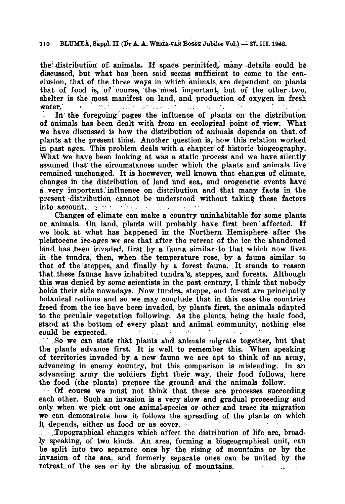the distribution of animals. If space permitted, many details could be discussed, but what has been said seems sufficient to come to the conclusion, that of the three ways in which animals are dependent on plants that of food is, of course, the most important, but of the other two, shelter is the most manifest on land, and production of oxygen in fresh water. In the foregoing pages the influence of plants on the distribution

of animals has been dealt with from an ecological point of view. What we have discussed is how the distribution of animals depends on that of plants at the present time. Another question is, how this relation worked in past ages. This problem deals with a chapter of historic biogeography. What We have been looking at was a static process and we have silently assumed that the circumstances under which the plants and animals live remained unchanged. It is hoewever, well known that changes of climate, changes in the distribution of land and sea, and orogenetic events have <sup>a</sup> very important influence on distribution and that many facts in the present distribution cannot be understood without taking these factors into account. The control of the control of the second

Changes of climate can make <sup>a</sup> country uninhabitable for some plants or animals. On land, plants will probably have first been affected. If we look at what has happened in the Northern Hemisphere after the pleistocene ice-ages we see that after the retreat of the ice the abandoned land has been invaded, first by <sup>a</sup> fauna similar to that which now lives in the tundra, then, when the temperature rose, by a fauna similar to that of the steppes, and finally by <sup>a</sup> forest fauna. It stands to reason that these faunae have inhabited tundra's, steppes, and forests. Although this was denied by some scientists in the past century, I think that nobody holds their side nowadays. Now tundra, steppe, and forest are principally botanical notions and so we may conclude that in this case the countries freed from the ice have been invaded, by plants first, the animals adapted to the peeulair vegetation following. As the plants, being the basic food, stand at the bottom of every plant and animal community, nothing else could be expected.

 $\therefore$  So we can state that plants and animals migrate together, but that the plants advance first. It is well to remember this. When speaking of territories invaded by a new fauna we are apt to think of an army, advancing in enemy country, but this comparison is misleading. In an advancing army the soldiers fight their way, their food follows, here the food (the plants) prepare the ground and the animals follow.

 $\sim$  Of course we must not think that these are processes succeeding each other. Such an invasion is <sup>a</sup> very slow and gradual proceeding and only when we pick out one animal-species or other and trace its migration we can demonstrate how it follows the spreading of the plants on which it depends, either as food or as cover.

Topographical changes which affect the distribution of life are, broadly speaking, of two kinds. An area, forming <sup>a</sup> biogeographical unit, can be split into two separate ones by the rising of mountains or by the invasion of the sea, and formerly separate ones can be united by the retreat of the sea or by the abrasion of mountains.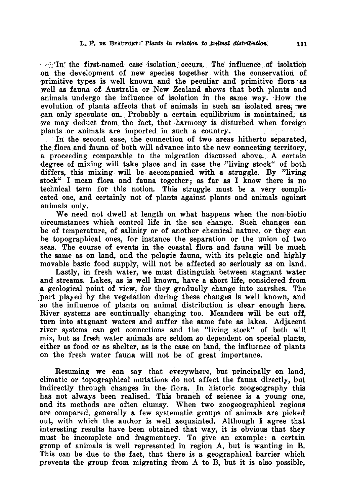$\sim$  In the first-named case isolation occurs. The influence of isolation on the development of new species together with the conservation of primitive types is well known and the peculiar and primitive flora as well as fauna of Australia or New Zealand shows that both plants and animals undergo the influence of isolation in the same way. How the evolution of plants affects that of animals in such an isolated area, we can only speculate on. Probably a certain equilibrium is maintained, as we may deduct from the fact, that harmony is disturbed when foreign plants or animals are imported in such a country.

In the second case, the connection of two areas hitherto separated. the flora and fauna of both will advance into the new connecting territory, a proceeding comparable to the migration discussed above. A certain degree of mixing will take place and in case the "living stock" of both differs, this mixing will be accompanied with <sup>a</sup> struggle. By "living stock" I mean flora and fauna together; as far as I know there is no technical term for this notion. This struggle must be a very complicated one, and certainly not of plants against plants and animals against animals only.

We need not dwell at length on what happens when the non-biotic circumstances which control life in the sea change. Such changes can be of temperature, of salinity or of another chemical nature, or they can be topographical ones, for instance the separation or the union of two seas. The course of events in the coastal flora and fauna will be much the same as on land, and the pelagic fauna, with its pelagic and highly movable basic food supply, will not be affected so seriously as on land.

Lastly, in fresh water, we must distinguish between stagnant water and streams. Lakes, as is well known, have <sup>a</sup> short life, considered from <sup>a</sup> geological point of view, for they gradually change into marshes. The part played by the vegetation during these changes is well known, and so the influence of plants on animal distribution is clear enough here. River systems are continually changing too. Meanders will be cut off, turn into stagnant waters and suffer the same fate as lakes. Adjacent river systems can get connections and the "living stock" of both will mix, but as fresh water animals are seldom so dependent on special plants, either as food or as shelter, as is the case on land, the influence of plants on the fresh water fauna will not be of great importance.

Resuming we can say that everywhere, but principally on land, climatic or topographical mutations do not affect the fauna directly, but indirectly through changes in the flora. In historic zoogeography this has not always been realised. This branch of science is a young one, and its methods are often clumsy. When two zoogeographical regions are compared, generally a few systematic groups of animals are picked are compared, generally a lew systematic groups of animals are picked<br>out, with which the author is well acquainted. Although I agree that interesting results have been obtained that way, it is obvious that they must be incomplete and fragmentary. To give an example: <sup>a</sup> certain group of animals is well represented in region A, but is wanting in B. This can be due to the fact, that there is a geographical barrier which prevents the group from migrating from A to B, but it is also possible,